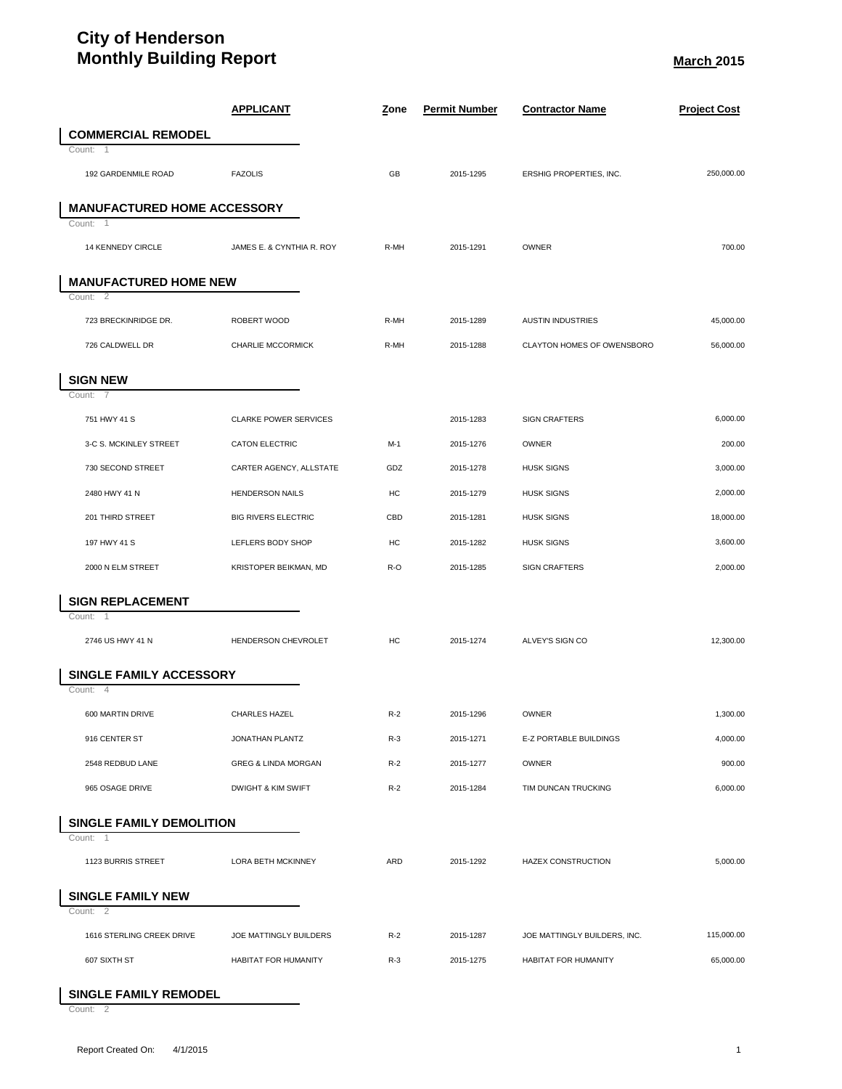## **City of Henderson Monthly Building Report March** 2015

|                                      | <b>APPLICANT</b>               | <u>Z</u> one | <b>Permit Number</b> | <b>Contractor Name</b>       | <b>Project Cost</b> |
|--------------------------------------|--------------------------------|--------------|----------------------|------------------------------|---------------------|
| <b>COMMERCIAL REMODEL</b>            |                                |              |                      |                              |                     |
| Count:<br>-1                         |                                |              |                      |                              |                     |
| 192 GARDENMILE ROAD                  | <b>FAZOLIS</b>                 | GB           | 2015-1295            | ERSHIG PROPERTIES, INC.      | 250,000.00          |
| <b>MANUFACTURED HOME ACCESSORY</b>   |                                |              |                      |                              |                     |
| Count: 1                             |                                |              |                      |                              |                     |
| 14 KENNEDY CIRCLE                    | JAMES E. & CYNTHIA R. ROY      | R-MH         | 2015-1291            | <b>OWNER</b>                 | 700.00              |
| <b>MANUFACTURED HOME NEW</b>         |                                |              |                      |                              |                     |
| Count: 2                             |                                |              |                      |                              |                     |
| 723 BRECKINRIDGE DR.                 | ROBERT WOOD                    | R-MH         | 2015-1289            | <b>AUSTIN INDUSTRIES</b>     | 45,000.00           |
| 726 CALDWELL DR                      | CHARLIE MCCORMICK              | R-MH         | 2015-1288            | CLAYTON HOMES OF OWENSBORO   | 56,000.00           |
| <b>SIGN NEW</b>                      |                                |              |                      |                              |                     |
| 7<br>Count:                          |                                |              |                      |                              |                     |
| 751 HWY 41 S                         | <b>CLARKE POWER SERVICES</b>   |              | 2015-1283            | <b>SIGN CRAFTERS</b>         | 6.000.00            |
| 3-C S. MCKINLEY STREET               | <b>CATON ELECTRIC</b>          | $M-1$        | 2015-1276            | <b>OWNER</b>                 | 200.00              |
| 730 SECOND STREET                    | CARTER AGENCY, ALLSTATE        | GDZ          | 2015-1278            | <b>HUSK SIGNS</b>            | 3.000.00            |
| 2480 HWY 41 N                        | <b>HENDERSON NAILS</b>         | HC           | 2015-1279            | <b>HUSK SIGNS</b>            | 2.000.00            |
| 201 THIRD STREET                     | <b>BIG RIVERS ELECTRIC</b>     | CBD          | 2015-1281            | <b>HUSK SIGNS</b>            | 18,000.00           |
| 197 HWY 41 S                         | LEFLERS BODY SHOP              | HC           | 2015-1282            | <b>HUSK SIGNS</b>            | 3,600.00            |
| 2000 N ELM STREET                    | KRISTOPER BEIKMAN, MD          | R-O          | 2015-1285            | <b>SIGN CRAFTERS</b>         | 2,000.00            |
| <b>SIGN REPLACEMENT</b>              |                                |              |                      |                              |                     |
| Count: 1                             |                                |              |                      |                              |                     |
| 2746 US HWY 41 N                     | HENDERSON CHEVROLET            | HC           | 2015-1274            | ALVEY'S SIGN CO              | 12,300.00           |
| <b>SINGLE FAMILY ACCESSORY</b>       |                                |              |                      |                              |                     |
| $\overline{4}$<br>Count:             |                                |              |                      |                              |                     |
| 600 MARTIN DRIVE                     | <b>CHARLES HAZEL</b>           | $R-2$        | 2015-1296            | <b>OWNER</b>                 | 1,300.00            |
| 916 CENTER ST                        | JONATHAN PLANTZ                | $R-3$        | 2015-1271            | E-Z PORTABLE BUILDINGS       | 4,000.00            |
| 2548 REDBUD LANE                     | <b>GREG &amp; LINDA MORGAN</b> | $R-2$        | 2015-1277            | <b>OWNER</b>                 | 900.00              |
| 965 OSAGE DRIVE                      | <b>DWIGHT &amp; KIM SWIFT</b>  | $R-2$        | 2015-1284            | TIM DUNCAN TRUCKING          | 6,000.00            |
| <b>SINGLE FAMILY DEMOLITION</b>      |                                |              |                      |                              |                     |
| Count: 1                             |                                |              |                      |                              |                     |
| 1123 BURRIS STREET                   | LORA BETH MCKINNEY             | ARD          | 2015-1292            | <b>HAZEX CONSTRUCTION</b>    | 5.000.00            |
| <b>SINGLE FAMILY NEW</b><br>Count: 2 |                                |              |                      |                              |                     |
| 1616 STERLING CREEK DRIVE            | JOE MATTINGLY BUILDERS         | $R-2$        | 2015-1287            | JOE MATTINGLY BUILDERS, INC. | 115,000.00          |
| 607 SIXTH ST                         | HABITAT FOR HUMANITY           | $R-3$        | 2015-1275            | HABITAT FOR HUMANITY         | 65,000.00           |
|                                      |                                |              |                      |                              |                     |

## **SINGLE FAMILY REMODEL**

Count: 2